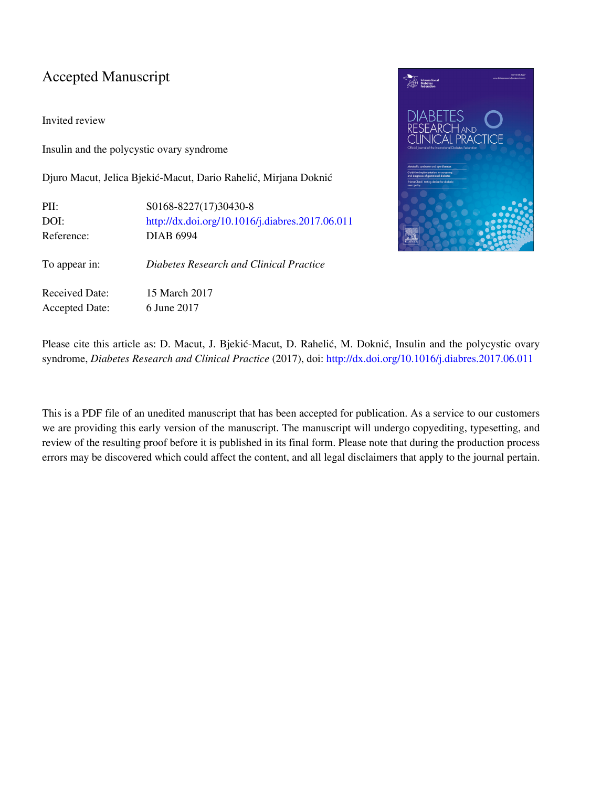### Accepted Manuscript

Invited review

Insulin and the polycystic ovary syndrome

Djuro Macut, Jelica Bjekić-Macut, Dario Rahelić, Mirjana Doknić

| PII:                  | S0168-8227(17)30430-8                           |
|-----------------------|-------------------------------------------------|
| DOI:                  | http://dx.doi.org/10.1016/j.diabres.2017.06.011 |
| Reference:            | <b>DIAB 6994</b>                                |
| To appear in:         | Diabetes Research and Clinical Practice         |
| <b>Received Date:</b> | 15 March 2017                                   |
| <b>Accepted Date:</b> | 6 June 2017                                     |



Please cite this article as: D. Macut, J. Bjekić-Macut, D. Rahelić, M. Doknić, Insulin and the polycystic ovary syndrome, *Diabetes Research and Clinical Practice* (2017), doi: [http://dx.doi.org/10.1016/j.diabres.2017.06.011](http://dx.doi.org/http://dx.doi.org/10.1016/j.diabres.2017.06.011)

This is a PDF file of an unedited manuscript that has been accepted for publication. As a service to our customers we are providing this early version of the manuscript. The manuscript will undergo copyediting, typesetting, and review of the resulting proof before it is published in its final form. Please note that during the production process errors may be discovered which could affect the content, and all legal disclaimers that apply to the journal pertain.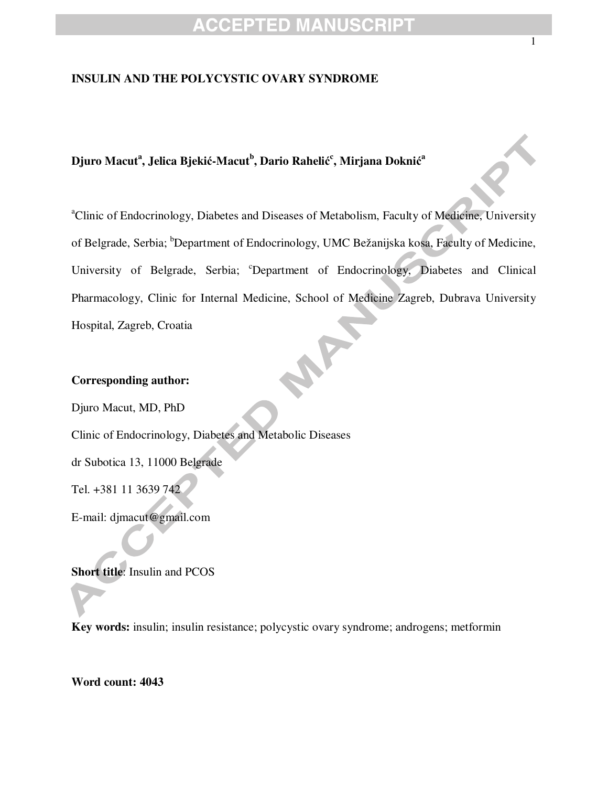#### **INSULIN AND THE POLYCYSTIC OVARY SYNDROME**

### **Djuro Macut<sup>a</sup> , Jelica Bjeki**ć**-Macut<sup>b</sup> , Dario Raheli**ć **c , Mirjana Dokni**ć **a**

<sup>a</sup>Clinic of Endocrinology, Diabetes and Diseases of Metabolism, Faculty of Medicine, University of Belgrade, Serbia; <sup>b</sup>Department of Endocrinology, UMC Bežanijska kosa, Faculty of Medicine, University of Belgrade, Serbia; <sup>c</sup>Department of Endocrinology, Diabetes and Clinical Pharmacology, Clinic for Internal Medicine, School of Medicine Zagreb, Dubrava University Hospital, Zagreb, Croatia

### **Corresponding author:**

Djuro Macut, MD, PhD Clinic of Endocrinology, Diabetes and Metabolic Diseases dr Subotica 13, 11000 Belgrade Tel. +381 11 3639 742 E-mail: djmacut@gmail.com

**Short title**: Insulin and PCOS

**Key words:** insulin; insulin resistance; polycystic ovary syndrome; androgens; metformin

**Word count: 4043**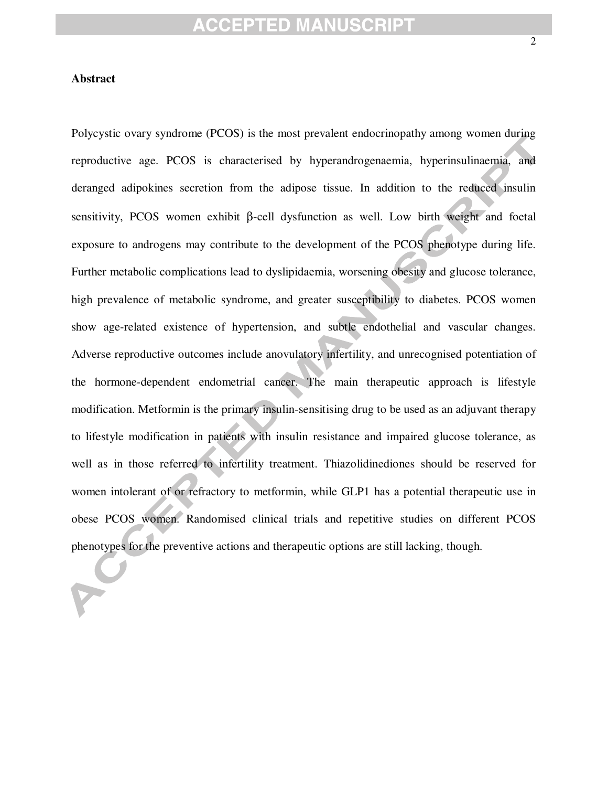#### **Abstract**

Polycystic ovary syndrome (PCOS) is the most prevalent endocrinopathy among women during reproductive age. PCOS is characterised by hyperandrogenaemia, hyperinsulinaemia, and deranged adipokines secretion from the adipose tissue. In addition to the reduced insulin sensitivity, PCOS women exhibit β-cell dysfunction as well. Low birth weight and foetal exposure to androgens may contribute to the development of the PCOS phenotype during life. Further metabolic complications lead to dyslipidaemia, worsening obesity and glucose tolerance, high prevalence of metabolic syndrome, and greater susceptibility to diabetes. PCOS women show age-related existence of hypertension, and subtle endothelial and vascular changes. Adverse reproductive outcomes include anovulatory infertility, and unrecognised potentiation of the hormone-dependent endometrial cancer. The main therapeutic approach is lifestyle modification. Metformin is the primary insulin-sensitising drug to be used as an adjuvant therapy to lifestyle modification in patients with insulin resistance and impaired glucose tolerance, as well as in those referred to infertility treatment. Thiazolidinediones should be reserved for women intolerant of or refractory to metformin, while GLP1 has a potential therapeutic use in obese PCOS women. Randomised clinical trials and repetitive studies on different PCOS phenotypes for the preventive actions and therapeutic options are still lacking, though.

2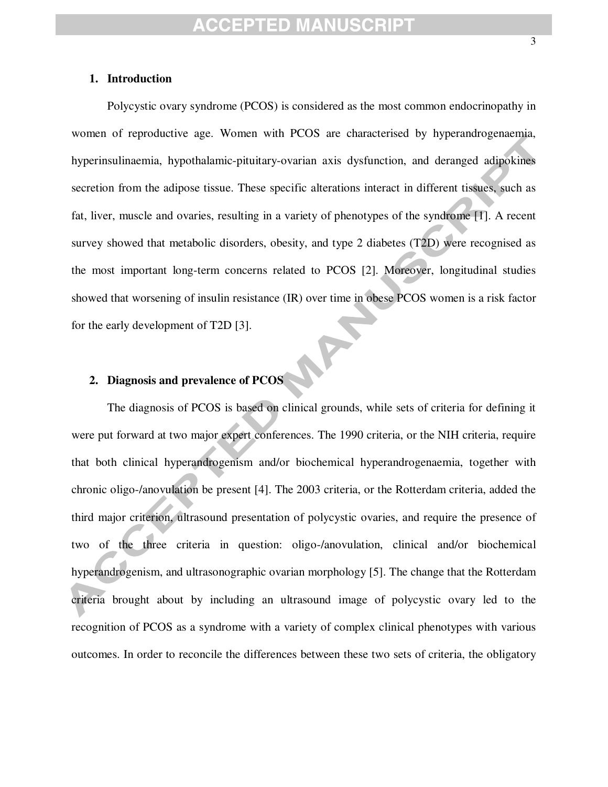#### **1. Introduction**

Polycystic ovary syndrome (PCOS) is considered as the most common endocrinopathy in women of reproductive age. Women with PCOS are characterised by hyperandrogenaemia, hyperinsulinaemia, hypothalamic-pituitary-ovarian axis dysfunction, and deranged adipokines secretion from the adipose tissue. These specific alterations interact in different tissues, such as fat, liver, muscle and ovaries, resulting in a variety of phenotypes of the syndrome [1]. A recent survey showed that metabolic disorders, obesity, and type 2 diabetes (T2D) were recognised as the most important long-term concerns related to PCOS [2]. Moreover, longitudinal studies showed that worsening of insulin resistance (IR) over time in obese PCOS women is a risk factor for the early development of T2D [3]. NF

### **2. Diagnosis and prevalence of PCOS**

The diagnosis of PCOS is based on clinical grounds, while sets of criteria for defining it were put forward at two major expert conferences. The 1990 criteria, or the NIH criteria, require that both clinical hyperandrogenism and/or biochemical hyperandrogenaemia, together with chronic oligo-/anovulation be present [4]. The 2003 criteria, or the Rotterdam criteria, added the third major criterion, ultrasound presentation of polycystic ovaries, and require the presence of two of the three criteria in question: oligo-/anovulation, clinical and/or biochemical hyperandrogenism, and ultrasonographic ovarian morphology [5]. The change that the Rotterdam criteria brought about by including an ultrasound image of polycystic ovary led to the recognition of PCOS as a syndrome with a variety of complex clinical phenotypes with various outcomes. In order to reconcile the differences between these two sets of criteria, the obligatory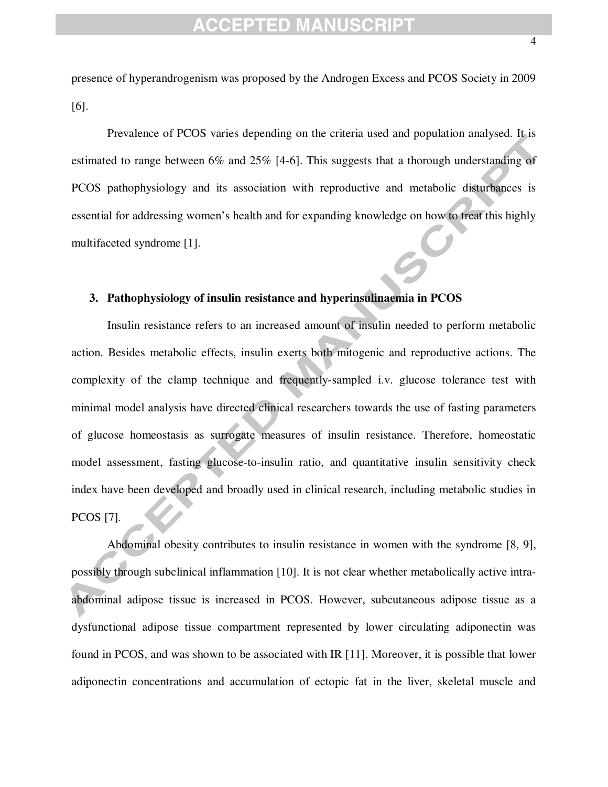presence of hyperandrogenism was proposed by the Androgen Excess and PCOS Society in 2009 [6].

Prevalence of PCOS varies depending on the criteria used and population analysed. It is estimated to range between 6% and 25% [4-6]. This suggests that a thorough understanding of PCOS pathophysiology and its association with reproductive and metabolic disturbances is essential for addressing women's health and for expanding knowledge on how to treat this highly multifaceted syndrome [1].

#### **3. Pathophysiology of insulin resistance and hyperinsulinaemia in PCOS**

Insulin resistance refers to an increased amount of insulin needed to perform metabolic action. Besides metabolic effects, insulin exerts both mitogenic and reproductive actions. The complexity of the clamp technique and frequently-sampled i.v. glucose tolerance test with minimal model analysis have directed clinical researchers towards the use of fasting parameters of glucose homeostasis as surrogate measures of insulin resistance. Therefore, homeostatic model assessment, fasting glucose-to-insulin ratio, and quantitative insulin sensitivity check index have been developed and broadly used in clinical research, including metabolic studies in PCOS [7].

Abdominal obesity contributes to insulin resistance in women with the syndrome [8, 9], possibly through subclinical inflammation [10]. It is not clear whether metabolically active intraabdominal adipose tissue is increased in PCOS. However, subcutaneous adipose tissue as a dysfunctional adipose tissue compartment represented by lower circulating adiponectin was found in PCOS, and was shown to be associated with IR [11]. Moreover, it is possible that lower adiponectin concentrations and accumulation of ectopic fat in the liver, skeletal muscle and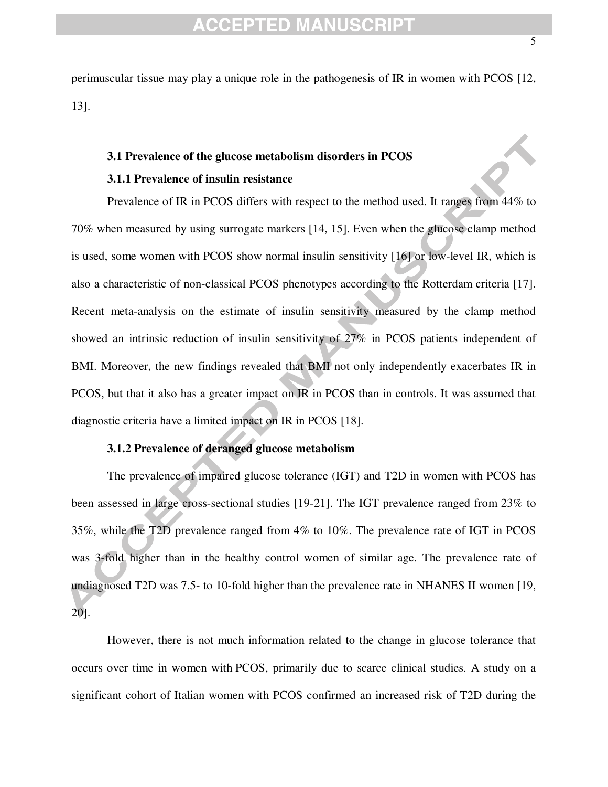perimuscular tissue may play a unique role in the pathogenesis of IR in women with PCOS [12, 13].

#### **3.1 Prevalence of the glucose metabolism disorders in PCOS**

#### **3.1.1 Prevalence of insulin resistance**

Prevalence of IR in PCOS differs with respect to the method used. It ranges from 44% to 70% when measured by using surrogate markers [14, 15]. Even when the glucose clamp method is used, some women with PCOS show normal insulin sensitivity [16] or low-level IR, which is also a characteristic of non-classical PCOS phenotypes according to the Rotterdam criteria [17]. Recent meta-analysis on the estimate of insulin sensitivity measured by the clamp method showed an intrinsic reduction of insulin sensitivity of 27% in PCOS patients independent of BMI. Moreover, the new findings revealed that BMI not only independently exacerbates IR in PCOS, but that it also has a greater impact on IR in PCOS than in controls. It was assumed that diagnostic criteria have a limited impact on IR in PCOS [18].

### **3.1.2 Prevalence of deranged glucose metabolism**

The prevalence of impaired glucose tolerance (IGT) and T2D in women with PCOS has been assessed in large cross-sectional studies [19-21]. The IGT prevalence ranged from 23% to 35%, while the T2D prevalence ranged from 4% to 10%. The prevalence rate of IGT in PCOS was 3-fold higher than in the healthy control women of similar age. The prevalence rate of undiagnosed T2D was 7.5- to 10-fold higher than the prevalence rate in NHANES II women [19, 20].

However, there is not much information related to the change in glucose tolerance that occurs over time in women with PCOS, primarily due to scarce clinical studies. A study on a significant cohort of Italian women with PCOS confirmed an increased risk of T2D during the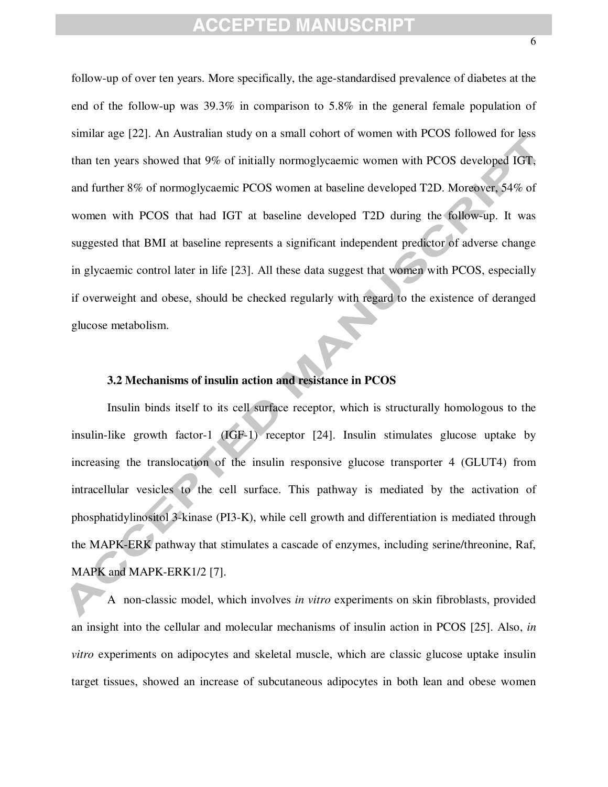follow-up of over ten years. More specifically, the age-standardised prevalence of diabetes at the end of the follow-up was 39.3% in comparison to 5.8% in the general female population of similar age [22]. An Australian study on a small cohort of women with PCOS followed for less than ten years showed that 9% of initially normoglycaemic women with PCOS developed IGT, and further 8% of normoglycaemic PCOS women at baseline developed T2D. Moreover, 54% of women with PCOS that had IGT at baseline developed T2D during the follow-up. It was suggested that BMI at baseline represents a significant independent predictor of adverse change in glycaemic control later in life [23]. All these data suggest that women with PCOS, especially if overweight and obese, should be checked regularly with regard to the existence of deranged glucose metabolism.

### **3.2 Mechanisms of insulin action and resistance in PCOS**

Insulin binds itself to its cell surface receptor, which is structurally homologous to the insulin-like growth factor-1 (IGF-1) receptor [24]. Insulin stimulates glucose uptake by increasing the translocation of the insulin responsive glucose transporter 4 (GLUT4) from intracellular vesicles to the cell surface. This pathway is mediated by the activation of phosphatidylinositol 3-kinase (PI3-K), while cell growth and differentiation is mediated through the MAPK-ERK pathway that stimulates a cascade of enzymes, including serine/threonine, Raf, MAPK and MAPK-ERK1/2 [7].

A non-classic model, which involves *in vitro* experiments on skin fibroblasts, provided an insight into the cellular and molecular mechanisms of insulin action in PCOS [25]. Also, *in vitro* experiments on adipocytes and skeletal muscle, which are classic glucose uptake insulin target tissues, showed an increase of subcutaneous adipocytes in both lean and obese women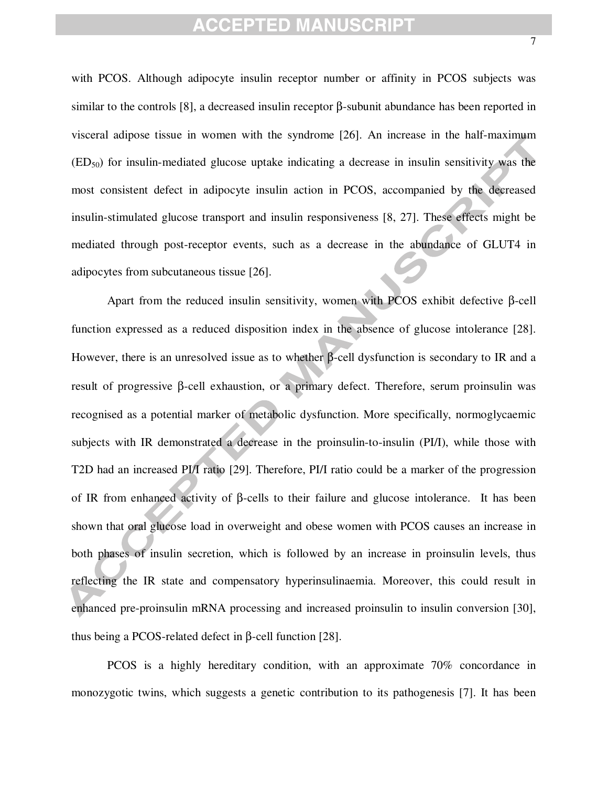with PCOS. Although adipocyte insulin receptor number or affinity in PCOS subjects was similar to the controls [8], a decreased insulin receptor β-subunit abundance has been reported in visceral adipose tissue in women with the syndrome [26]. An increase in the half-maximum  $(ED<sub>50</sub>)$  for insulin-mediated glucose uptake indicating a decrease in insulin sensitivity was the most consistent defect in adipocyte insulin action in PCOS, accompanied by the decreased insulin-stimulated glucose transport and insulin responsiveness [8, 27]. These effects might be mediated through post-receptor events, such as a decrease in the abundance of GLUT4 in adipocytes from subcutaneous tissue [26].

Apart from the reduced insulin sensitivity, women with PCOS exhibit defective β-cell function expressed as a reduced disposition index in the absence of glucose intolerance [28]. However, there is an unresolved issue as to whether β-cell dysfunction is secondary to IR and a result of progressive β-cell exhaustion, or a primary defect. Therefore, serum proinsulin was recognised as a potential marker of metabolic dysfunction. More specifically, normoglycaemic subjects with IR demonstrated a decrease in the proinsulin-to-insulin (PI/I), while those with T2D had an increased PI/I ratio [29]. Therefore, PI/I ratio could be a marker of the progression of IR from enhanced activity of β-cells to their failure and glucose intolerance. It has been shown that oral glucose load in overweight and obese women with PCOS causes an increase in both phases of insulin secretion, which is followed by an increase in proinsulin levels, thus reflecting the IR state and compensatory hyperinsulinaemia. Moreover, this could result in enhanced pre-proinsulin mRNA processing and increased proinsulin to insulin conversion [30], thus being a PCOS-related defect in β-cell function [28].

PCOS is a highly hereditary condition, with an approximate 70% concordance in monozygotic twins, which suggests a genetic contribution to its pathogenesis [7]. It has been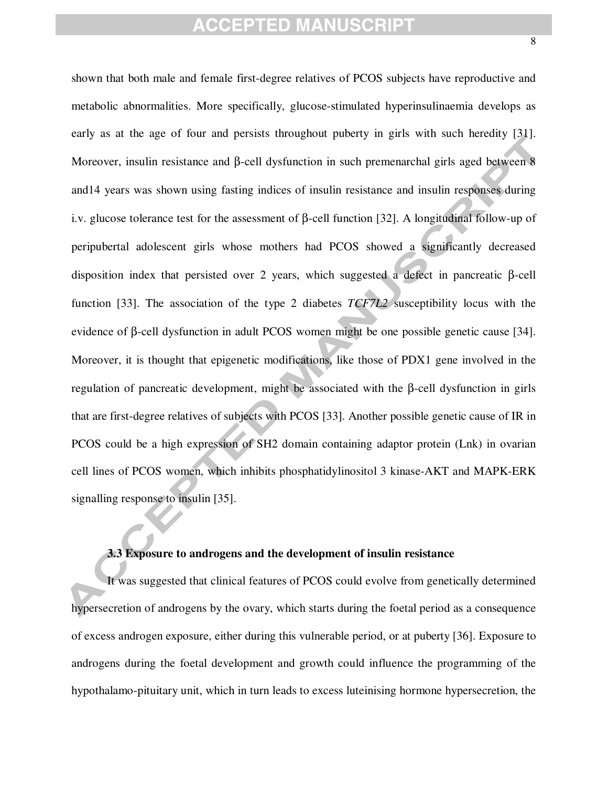shown that both male and female first-degree relatives of PCOS subjects have reproductive and metabolic abnormalities. More specifically, glucose-stimulated hyperinsulinaemia develops as early as at the age of four and persists throughout puberty in girls with such heredity [31]. Moreover, insulin resistance and β-cell dysfunction in such premenarchal girls aged between 8 and14 years was shown using fasting indices of insulin resistance and insulin responses during i.v. glucose tolerance test for the assessment of β-cell function [32]. A longitudinal follow-up of peripubertal adolescent girls whose mothers had PCOS showed a significantly decreased disposition index that persisted over 2 years, which suggested a defect in pancreatic β-cell function [33]. The association of the type 2 diabetes *TCF7L2* susceptibility locus with the evidence of β-cell dysfunction in adult PCOS women might be one possible genetic cause [34]. Moreover, it is thought that epigenetic modifications, like those of PDX1 gene involved in the regulation of pancreatic development, might be associated with the β-cell dysfunction in girls that are first-degree relatives of subjects with PCOS [33]. Another possible genetic cause of IR in PCOS could be a high expression of SH2 domain containing adaptor protein (Lnk) in ovarian cell lines of PCOS women, which inhibits phosphatidylinositol 3 kinase-AKT and MAPK-ERK signalling response to insulin [35].

#### **3.3 Exposure to androgens and the development of insulin resistance**

It was suggested that clinical features of PCOS could evolve from genetically determined hypersecretion of androgens by the ovary, which starts during the foetal period as a consequence of excess androgen exposure, either during this vulnerable period, or at puberty [36]. Exposure to androgens during the foetal development and growth could influence the programming of the hypothalamo-pituitary unit, which in turn leads to excess luteinising hormone hypersecretion, the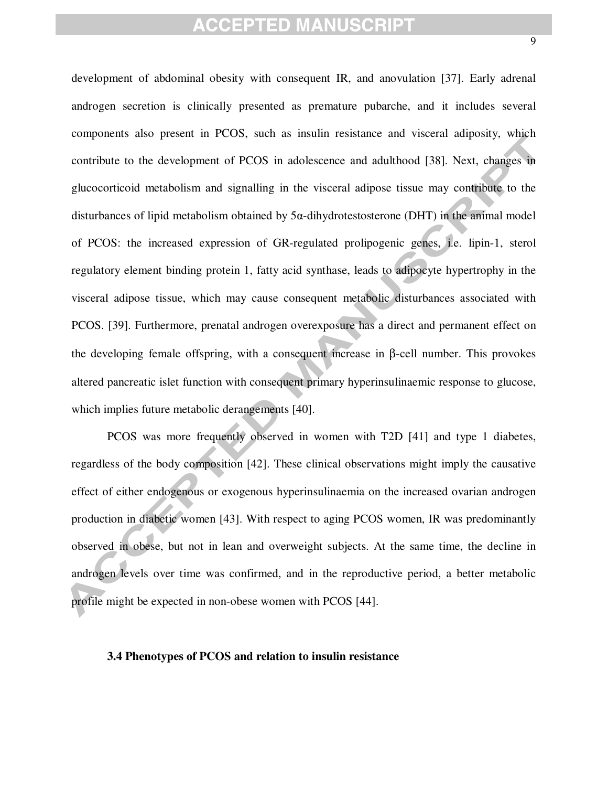development of abdominal obesity with consequent IR, and anovulation [37]. Early adrenal androgen secretion is clinically presented as premature pubarche, and it includes several components also present in PCOS, such as insulin resistance and visceral adiposity, which contribute to the development of PCOS in adolescence and adulthood [38]. Next, changes in glucocorticoid metabolism and signalling in the visceral adipose tissue may contribute to the disturbances of lipid metabolism obtained by 5α-dihydrotestosterone (DHT) in the animal model of PCOS: the increased expression of GR-regulated prolipogenic genes, i.e. lipin-1, sterol regulatory element binding protein 1, fatty acid synthase, leads to adipocyte hypertrophy in the visceral adipose tissue, which may cause consequent metabolic disturbances associated with PCOS. [39]. Furthermore, prenatal androgen overexposure has a direct and permanent effect on the developing female offspring, with a consequent increase in β-cell number. This provokes altered pancreatic islet function with consequent primary hyperinsulinaemic response to glucose, which implies future metabolic derangements [40].

PCOS was more frequently observed in women with T2D [41] and type 1 diabetes, regardless of the body composition [42]. These clinical observations might imply the causative effect of either endogenous or exogenous hyperinsulinaemia on the increased ovarian androgen production in diabetic women [43]. With respect to aging PCOS women, IR was predominantly observed in obese, but not in lean and overweight subjects. At the same time, the decline in androgen levels over time was confirmed, and in the reproductive period, a better metabolic profile might be expected in non-obese women with PCOS [44].

#### **3.4 Phenotypes of PCOS and relation to insulin resistance**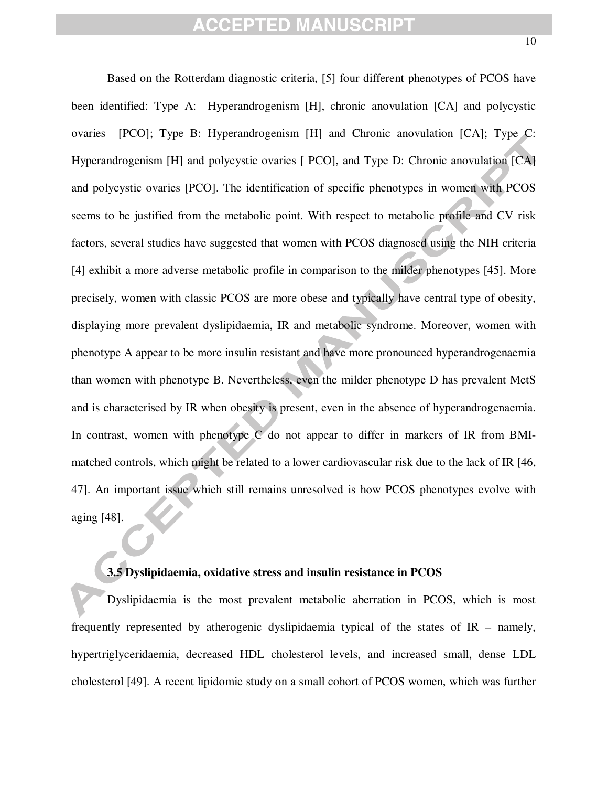Based on the Rotterdam diagnostic criteria, [5] four different phenotypes of PCOS have been identified: Type A: Hyperandrogenism [H], chronic anovulation [CA] and polycystic ovaries [PCO]; Type B: Hyperandrogenism [H] and Chronic anovulation [CA]; Type C: Hyperandrogenism [H] and polycystic ovaries [ PCO], and Type D: Chronic anovulation [CA] and polycystic ovaries [PCO]. The identification of specific phenotypes in women with PCOS seems to be justified from the metabolic point. With respect to metabolic profile and CV risk factors, several studies have suggested that women with PCOS diagnosed using the NIH criteria [4] exhibit a more adverse metabolic profile in comparison to the milder phenotypes [45]. More precisely, women with classic PCOS are more obese and typically have central type of obesity, displaying more prevalent dyslipidaemia, IR and metabolic syndrome. Moreover, women with phenotype A appear to be more insulin resistant and have more pronounced hyperandrogenaemia than women with phenotype B. Nevertheless, even the milder phenotype D has prevalent MetS and is characterised by IR when obesity is present, even in the absence of hyperandrogenaemia. In contrast, women with phenotype C do not appear to differ in markers of IR from BMImatched controls, which might be related to a lower cardiovascular risk due to the lack of IR [46, 47]. An important issue which still remains unresolved is how PCOS phenotypes evolve with aging [48].

### **3.5 Dyslipidaemia, oxidative stress and insulin resistance in PCOS**

Dyslipidaemia is the most prevalent metabolic aberration in PCOS, which is most frequently represented by atherogenic dyslipidaemia typical of the states of IR – namely, hypertriglyceridaemia, decreased HDL cholesterol levels, and increased small, dense LDL cholesterol [49]. A recent lipidomic study on a small cohort of PCOS women, which was further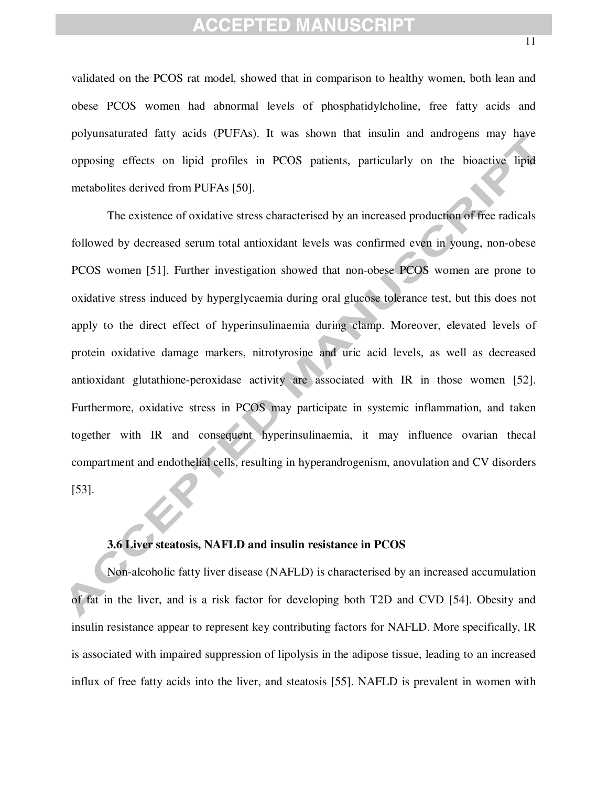validated on the PCOS rat model, showed that in comparison to healthy women, both lean and obese PCOS women had abnormal levels of phosphatidylcholine, free fatty acids and polyunsaturated fatty acids (PUFAs). It was shown that insulin and androgens may have opposing effects on lipid profiles in PCOS patients, particularly on the bioactive lipid metabolites derived from PUFAs [50].

The existence of oxidative stress characterised by an increased production of free radicals followed by decreased serum total antioxidant levels was confirmed even in young, non-obese PCOS women [51]. Further investigation showed that non-obese PCOS women are prone to oxidative stress induced by hyperglycaemia during oral glucose tolerance test, but this does not apply to the direct effect of hyperinsulinaemia during clamp. Moreover, elevated levels of protein oxidative damage markers, nitrotyrosine and uric acid levels, as well as decreased antioxidant glutathione-peroxidase activity are associated with IR in those women [52]. Furthermore, oxidative stress in PCOS may participate in systemic inflammation, and taken together with IR and consequent hyperinsulinaemia, it may influence ovarian thecal compartment and endothelial cells, resulting in hyperandrogenism, anovulation and CV disorders [53].

#### **3.6 Liver steatosis, NAFLD and insulin resistance in PCOS**

Non-alcoholic fatty liver disease (NAFLD) is characterised by an increased accumulation of fat in the liver, and is a risk factor for developing both T2D and CVD [54]. Obesity and insulin resistance appear to represent key contributing factors for NAFLD. More specifically, IR is associated with impaired suppression of lipolysis in the adipose tissue, leading to an increased influx of free fatty acids into the liver, and steatosis [55]. NAFLD is prevalent in women with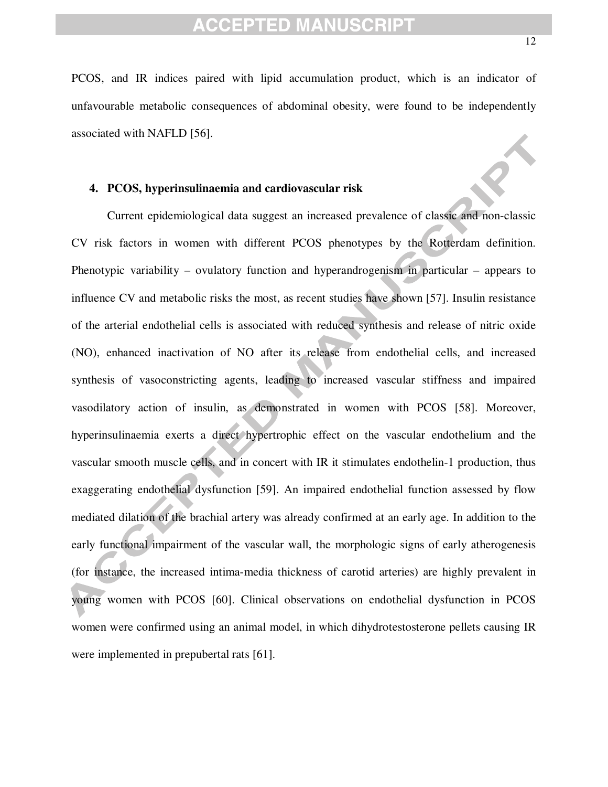PCOS, and IR indices paired with lipid accumulation product, which is an indicator of unfavourable metabolic consequences of abdominal obesity, were found to be independently associated with NAFLD [56].

#### **4. PCOS, hyperinsulinaemia and cardiovascular risk**

Current epidemiological data suggest an increased prevalence of classic and non-classic CV risk factors in women with different PCOS phenotypes by the Rotterdam definition. Phenotypic variability – ovulatory function and hyperandrogenism in particular – appears to influence CV and metabolic risks the most, as recent studies have shown [57]. Insulin resistance of the arterial endothelial cells is associated with reduced synthesis and release of nitric oxide (NO), enhanced inactivation of NO after its release from endothelial cells, and increased synthesis of vasoconstricting agents, leading to increased vascular stiffness and impaired vasodilatory action of insulin, as demonstrated in women with PCOS [58]. Moreover, hyperinsulinaemia exerts a direct hypertrophic effect on the vascular endothelium and the vascular smooth muscle cells, and in concert with IR it stimulates endothelin-1 production, thus exaggerating endothelial dysfunction [59]. An impaired endothelial function assessed by flow mediated dilation of the brachial artery was already confirmed at an early age. In addition to the early functional impairment of the vascular wall, the morphologic signs of early atherogenesis (for instance, the increased intima-media thickness of carotid arteries) are highly prevalent in young women with PCOS [60]. Clinical observations on endothelial dysfunction in PCOS women were confirmed using an animal model, in which dihydrotestosterone pellets causing IR were implemented in prepubertal rats [61].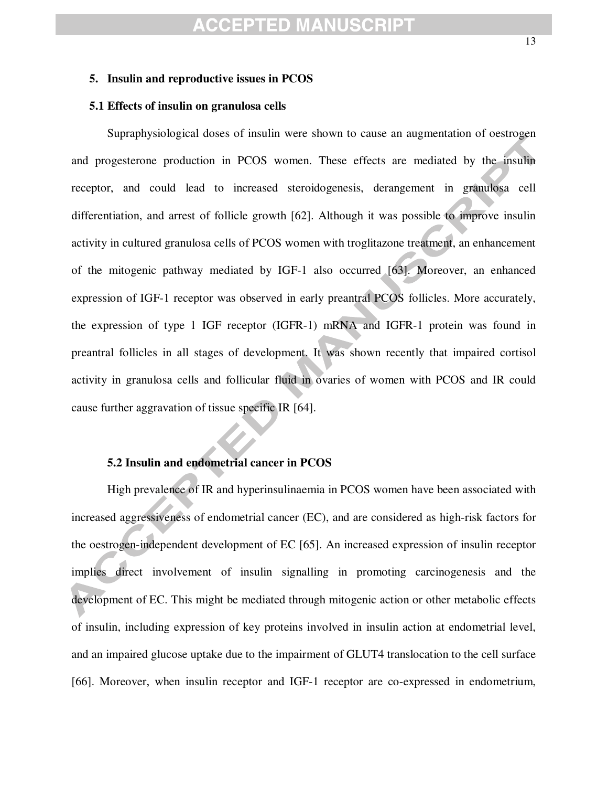#### **5. Insulin and reproductive issues in PCOS**

#### **5.1 Effects of insulin on granulosa cells**

Supraphysiological doses of insulin were shown to cause an augmentation of oestrogen and progesterone production in PCOS women. These effects are mediated by the insulin receptor, and could lead to increased steroidogenesis, derangement in granulosa cell differentiation, and arrest of follicle growth [62]. Although it was possible to improve insulin activity in cultured granulosa cells of PCOS women with troglitazone treatment, an enhancement of the mitogenic pathway mediated by IGF-1 also occurred [63]. Moreover, an enhanced expression of IGF-1 receptor was observed in early preantral PCOS follicles. More accurately, the expression of type 1 IGF receptor (IGFR-1) mRNA and IGFR-1 protein was found in preantral follicles in all stages of development. It was shown recently that impaired cortisol activity in granulosa cells and follicular fluid in ovaries of women with PCOS and IR could cause further aggravation of tissue specific IR [64].

#### **5.2 Insulin and endometrial cancer in PCOS**

High prevalence of IR and hyperinsulinaemia in PCOS women have been associated with increased aggressiveness of endometrial cancer (EC), and are considered as high-risk factors for the oestrogen-independent development of EC [65]. An increased expression of insulin receptor implies direct involvement of insulin signalling in promoting carcinogenesis and the development of EC. This might be mediated through mitogenic action or other metabolic effects of insulin, including expression of key proteins involved in insulin action at endometrial level, and an impaired glucose uptake due to the impairment of GLUT4 translocation to the cell surface [66]. Moreover, when insulin receptor and IGF-1 receptor are co-expressed in endometrium,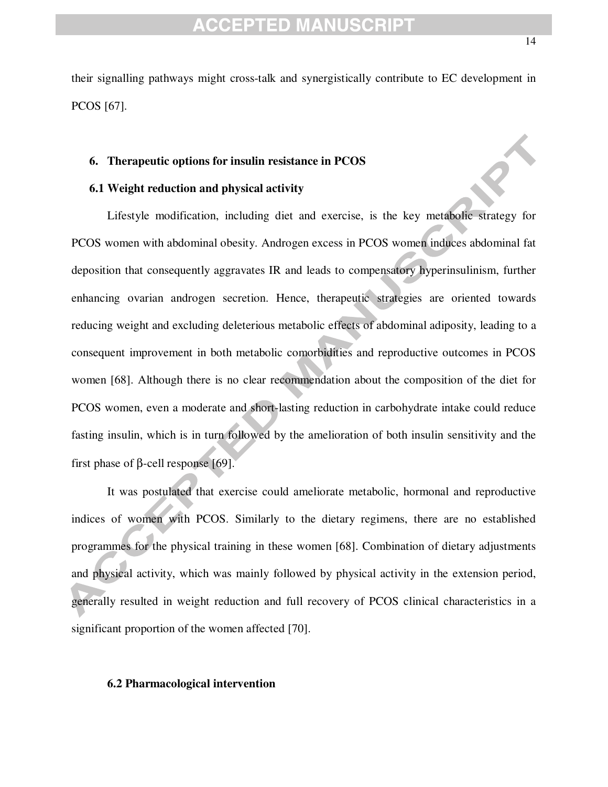their signalling pathways might cross-talk and synergistically contribute to EC development in PCOS [67].

#### **6. Therapeutic options for insulin resistance in PCOS**

#### **6.1 Weight reduction and physical activity**

Lifestyle modification, including diet and exercise, is the key metabolic strategy for PCOS women with abdominal obesity. Androgen excess in PCOS women induces abdominal fat deposition that consequently aggravates IR and leads to compensatory hyperinsulinism, further enhancing ovarian androgen secretion. Hence, therapeutic strategies are oriented towards reducing weight and excluding deleterious metabolic effects of abdominal adiposity, leading to a consequent improvement in both metabolic comorbidities and reproductive outcomes in PCOS women [68]. Although there is no clear recommendation about the composition of the diet for PCOS women, even a moderate and short-lasting reduction in carbohydrate intake could reduce fasting insulin, which is in turn followed by the amelioration of both insulin sensitivity and the first phase of β-cell response [69].

It was postulated that exercise could ameliorate metabolic, hormonal and reproductive indices of women with PCOS. Similarly to the dietary regimens, there are no established programmes for the physical training in these women [68]. Combination of dietary adjustments and physical activity, which was mainly followed by physical activity in the extension period, generally resulted in weight reduction and full recovery of PCOS clinical characteristics in a significant proportion of the women affected [70].

#### **6.2 Pharmacological intervention**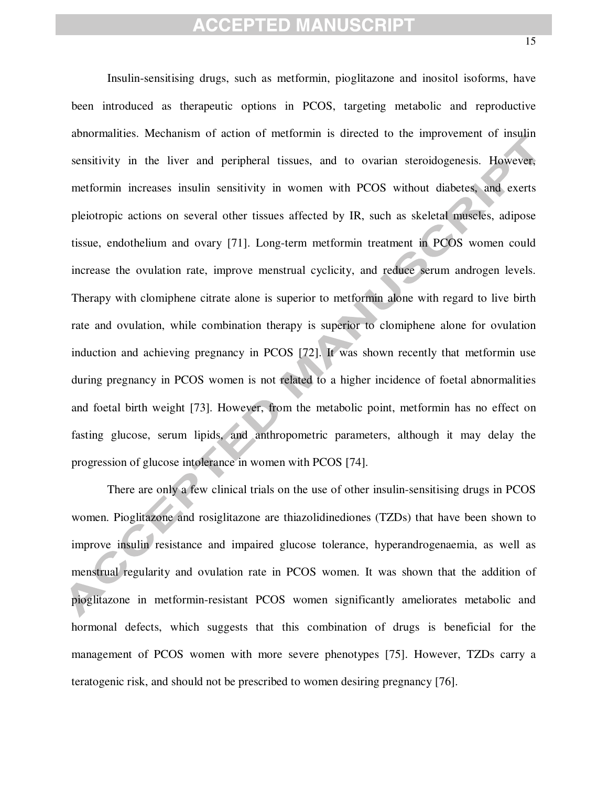Insulin-sensitising drugs, such as metformin, pioglitazone and inositol isoforms, have been introduced as therapeutic options in PCOS, targeting metabolic and reproductive abnormalities. Mechanism of action of metformin is directed to the improvement of insulin sensitivity in the liver and peripheral tissues, and to ovarian steroidogenesis. However, metformin increases insulin sensitivity in women with PCOS without diabetes, and exerts pleiotropic actions on several other tissues affected by IR, such as skeletal muscles, adipose tissue, endothelium and ovary [71]. Long-term metformin treatment in PCOS women could increase the ovulation rate, improve menstrual cyclicity, and reduce serum androgen levels. Therapy with clomiphene citrate alone is superior to metformin alone with regard to live birth rate and ovulation, while combination therapy is superior to clomiphene alone for ovulation induction and achieving pregnancy in PCOS [72]. It was shown recently that metformin use during pregnancy in PCOS women is not related to a higher incidence of foetal abnormalities and foetal birth weight [73]. However, from the metabolic point, metformin has no effect on fasting glucose, serum lipids, and anthropometric parameters, although it may delay the progression of glucose intolerance in women with PCOS [74].

There are only a few clinical trials on the use of other insulin-sensitising drugs in PCOS women. Pioglitazone and rosiglitazone are thiazolidinediones (TZDs) that have been shown to improve insulin resistance and impaired glucose tolerance, hyperandrogenaemia, as well as menstrual regularity and ovulation rate in PCOS women. It was shown that the addition of pioglitazone in metformin-resistant PCOS women significantly ameliorates metabolic and hormonal defects, which suggests that this combination of drugs is beneficial for the management of PCOS women with more severe phenotypes [75]. However, TZDs carry a teratogenic risk, and should not be prescribed to women desiring pregnancy [76].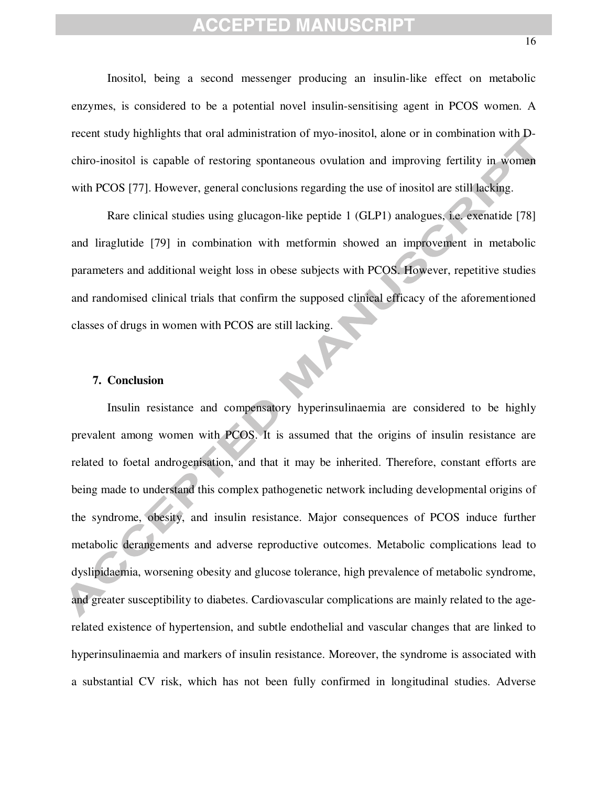Inositol, being a second messenger producing an insulin-like effect on metabolic enzymes, is considered to be a potential novel insulin-sensitising agent in PCOS women. A recent study highlights that oral administration of myo-inositol, alone or in combination with Dchiro-inositol is capable of restoring spontaneous ovulation and improving fertility in women with PCOS [77]. However, general conclusions regarding the use of inositol are still lacking.

Rare clinical studies using glucagon-like peptide 1 (GLP1) analogues, i.e. exenatide [78] and liraglutide [79] in combination with metformin showed an improvement in metabolic parameters and additional weight loss in obese subjects with PCOS. However, repetitive studies and randomised clinical trials that confirm the supposed clinical efficacy of the aforementioned classes of drugs in women with PCOS are still lacking.

N

#### **7. Conclusion**

Insulin resistance and compensatory hyperinsulinaemia are considered to be highly prevalent among women with PCOS. It is assumed that the origins of insulin resistance are related to foetal androgenisation, and that it may be inherited. Therefore, constant efforts are being made to understand this complex pathogenetic network including developmental origins of the syndrome, obesity, and insulin resistance. Major consequences of PCOS induce further metabolic derangements and adverse reproductive outcomes. Metabolic complications lead to dyslipidaemia, worsening obesity and glucose tolerance, high prevalence of metabolic syndrome, and greater susceptibility to diabetes. Cardiovascular complications are mainly related to the agerelated existence of hypertension, and subtle endothelial and vascular changes that are linked to hyperinsulinaemia and markers of insulin resistance. Moreover, the syndrome is associated with a substantial CV risk, which has not been fully confirmed in longitudinal studies. Adverse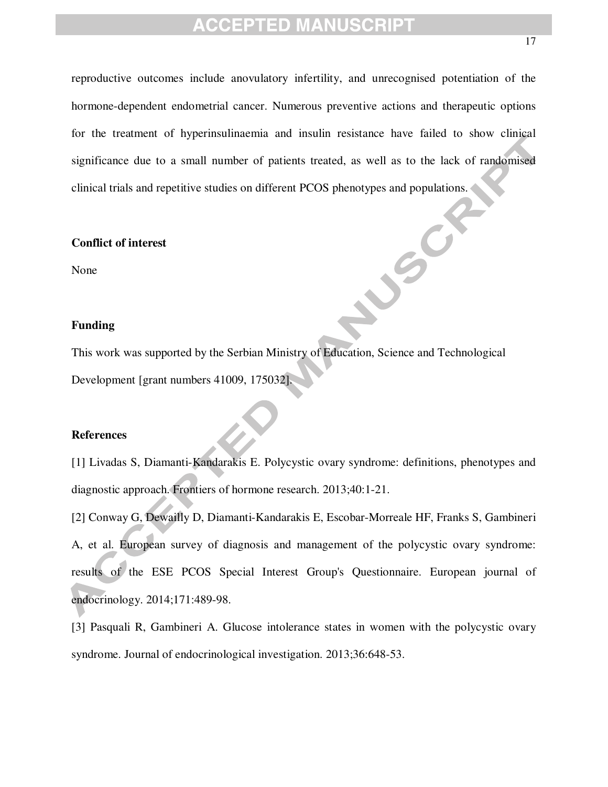reproductive outcomes include anovulatory infertility, and unrecognised potentiation of the hormone-dependent endometrial cancer. Numerous preventive actions and therapeutic options for the treatment of hyperinsulinaemia and insulin resistance have failed to show clinical significance due to a small number of patients treated, as well as to the lack of randomised clinical trials and repetitive studies on different PCOS phenotypes and populations.

LUSCH

#### **Conflict of interest**

None

#### **Funding**

This work was supported by the Serbian Ministry of Education, Science and Technological Development [grant numbers 41009, 175032].

#### **References**

[1] Livadas S, Diamanti-Kandarakis E. Polycystic ovary syndrome: definitions, phenotypes and diagnostic approach. Frontiers of hormone research. 2013;40:1-21.

[2] Conway G, Dewailly D, Diamanti-Kandarakis E, Escobar-Morreale HF, Franks S, Gambineri A, et al. European survey of diagnosis and management of the polycystic ovary syndrome: results of the ESE PCOS Special Interest Group's Questionnaire. European journal of endocrinology. 2014;171:489-98.

[3] Pasquali R, Gambineri A. Glucose intolerance states in women with the polycystic ovary syndrome. Journal of endocrinological investigation. 2013;36:648-53.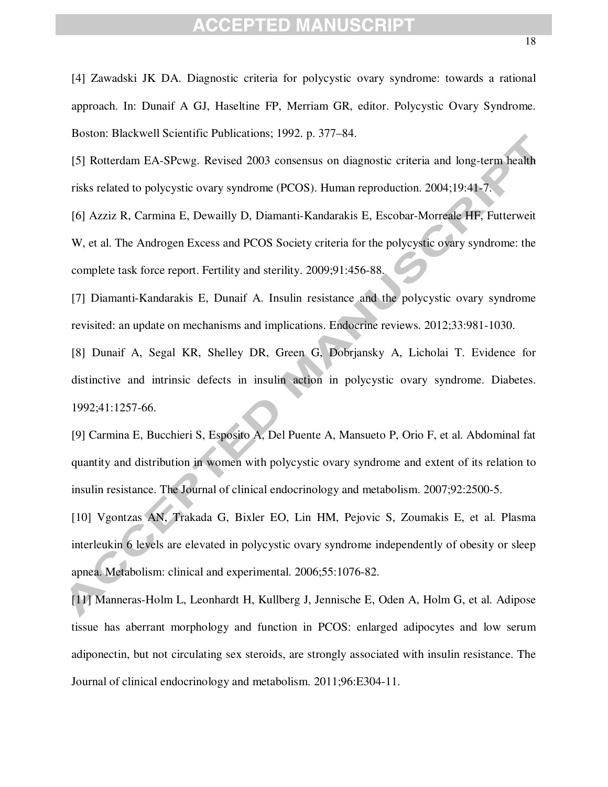[4] Zawadski JK DA. Diagnostic criteria for polycystic ovary syndrome: towards a rational approach. In: Dunaif A GJ, Haseltine FP, Merriam GR, editor. Polycystic Ovary Syndrome. Boston: Blackwell Scientific Publications; 1992. p. 377–84.

[5] Rotterdam EA-SPcwg. Revised 2003 consensus on diagnostic criteria and long-term health risks related to polycystic ovary syndrome (PCOS). Human reproduction. 2004;19:41-7.

[6] Azziz R, Carmina E, Dewailly D, Diamanti-Kandarakis E, Escobar-Morreale HF, Futterweit W, et al. The Androgen Excess and PCOS Society criteria for the polycystic ovary syndrome: the complete task force report. Fertility and sterility. 2009;91:456-88.

[7] Diamanti-Kandarakis E, Dunaif A. Insulin resistance and the polycystic ovary syndrome revisited: an update on mechanisms and implications. Endocrine reviews. 2012;33:981-1030.

[8] Dunaif A, Segal KR, Shelley DR, Green G, Dobrjansky A, Licholai T. Evidence for distinctive and intrinsic defects in insulin action in polycystic ovary syndrome. Diabetes. 1992;41:1257-66.

[9] Carmina E, Bucchieri S, Esposito A, Del Puente A, Mansueto P, Orio F, et al. Abdominal fat quantity and distribution in women with polycystic ovary syndrome and extent of its relation to insulin resistance. The Journal of clinical endocrinology and metabolism. 2007;92:2500-5. [10] Vgontzas AN, Trakada G, Bixler EO, Lin HM, Pejovic S, Zoumakis E, et al. Plasma

interleukin 6 levels are elevated in polycystic ovary syndrome independently of obesity or sleep apnea. Metabolism: clinical and experimental. 2006;55:1076-82.

[11] Manneras-Holm L, Leonhardt H, Kullberg J, Jennische E, Oden A, Holm G, et al. Adipose tissue has aberrant morphology and function in PCOS: enlarged adipocytes and low serum adiponectin, but not circulating sex steroids, are strongly associated with insulin resistance. The Journal of clinical endocrinology and metabolism. 2011;96:E304-11.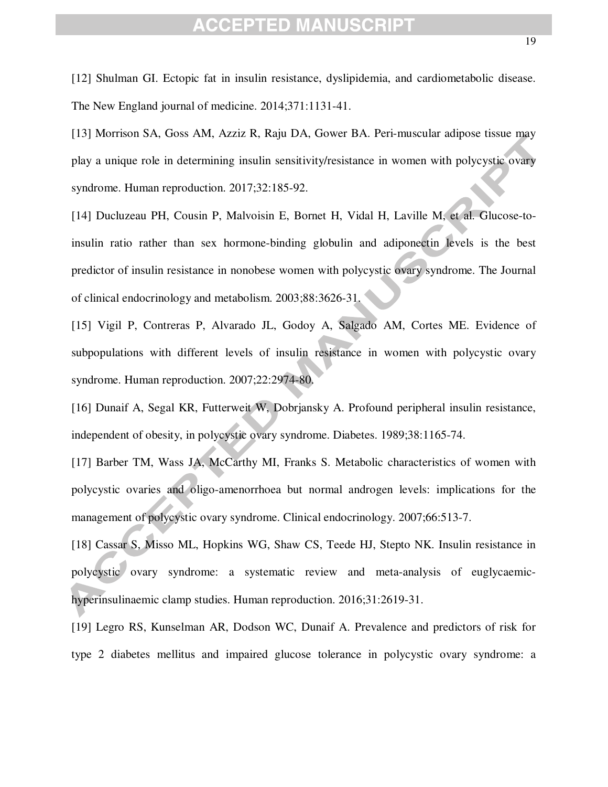[12] Shulman GI. Ectopic fat in insulin resistance, dyslipidemia, and cardiometabolic disease. The New England journal of medicine. 2014;371:1131-41.

[13] Morrison SA, Goss AM, Azziz R, Raju DA, Gower BA. Peri-muscular adipose tissue may play a unique role in determining insulin sensitivity/resistance in women with polycystic ovary syndrome. Human reproduction. 2017;32:185-92.

[14] Ducluzeau PH, Cousin P, Malvoisin E, Bornet H, Vidal H, Laville M, et al. Glucose-toinsulin ratio rather than sex hormone-binding globulin and adiponectin levels is the best predictor of insulin resistance in nonobese women with polycystic ovary syndrome. The Journal of clinical endocrinology and metabolism. 2003;88:3626-31.

[15] Vigil P, Contreras P, Alvarado JL, Godoy A, Salgado AM, Cortes ME. Evidence of subpopulations with different levels of insulin resistance in women with polycystic ovary syndrome. Human reproduction. 2007;22:2974-80.

[16] Dunaif A, Segal KR, Futterweit W, Dobrjansky A. Profound peripheral insulin resistance, independent of obesity, in polycystic ovary syndrome. Diabetes. 1989;38:1165-74.

[17] Barber TM, Wass JA, McCarthy MI, Franks S. Metabolic characteristics of women with polycystic ovaries and oligo-amenorrhoea but normal androgen levels: implications for the management of polycystic ovary syndrome. Clinical endocrinology. 2007;66:513-7.

[18] Cassar S, Misso ML, Hopkins WG, Shaw CS, Teede HJ, Stepto NK. Insulin resistance in polycystic ovary syndrome: a systematic review and meta-analysis of euglycaemichyperinsulinaemic clamp studies. Human reproduction. 2016;31:2619-31.

[19] Legro RS, Kunselman AR, Dodson WC, Dunaif A. Prevalence and predictors of risk for type 2 diabetes mellitus and impaired glucose tolerance in polycystic ovary syndrome: a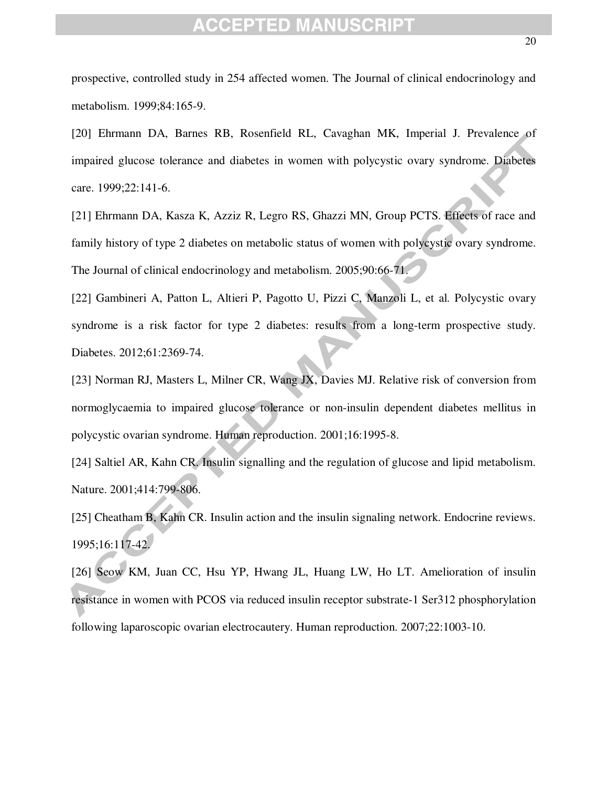prospective, controlled study in 254 affected women. The Journal of clinical endocrinology and metabolism. 1999;84:165-9.

[20] Ehrmann DA, Barnes RB, Rosenfield RL, Cavaghan MK, Imperial J. Prevalence of impaired glucose tolerance and diabetes in women with polycystic ovary syndrome. Diabetes care. 1999;22:141-6.

[21] Ehrmann DA, Kasza K, Azziz R, Legro RS, Ghazzi MN, Group PCTS. Effects of race and family history of type 2 diabetes on metabolic status of women with polycystic ovary syndrome. The Journal of clinical endocrinology and metabolism. 2005;90:66-71.

[22] Gambineri A, Patton L, Altieri P, Pagotto U, Pizzi C, Manzoli L, et al. Polycystic ovary syndrome is a risk factor for type 2 diabetes: results from a long-term prospective study. Diabetes. 2012;61:2369-74.

[23] Norman RJ, Masters L, Milner CR, Wang JX, Davies MJ. Relative risk of conversion from normoglycaemia to impaired glucose tolerance or non-insulin dependent diabetes mellitus in polycystic ovarian syndrome. Human reproduction. 2001;16:1995-8.

[24] Saltiel AR, Kahn CR. Insulin signalling and the regulation of glucose and lipid metabolism. Nature. 2001;414:799-806.

[25] Cheatham B, Kahn CR. Insulin action and the insulin signaling network. Endocrine reviews. 1995;16:117-42.

[26] Seow KM, Juan CC, Hsu YP, Hwang JL, Huang LW, Ho LT. Amelioration of insulin resistance in women with PCOS via reduced insulin receptor substrate-1 Ser312 phosphorylation following laparoscopic ovarian electrocautery. Human reproduction. 2007;22:1003-10.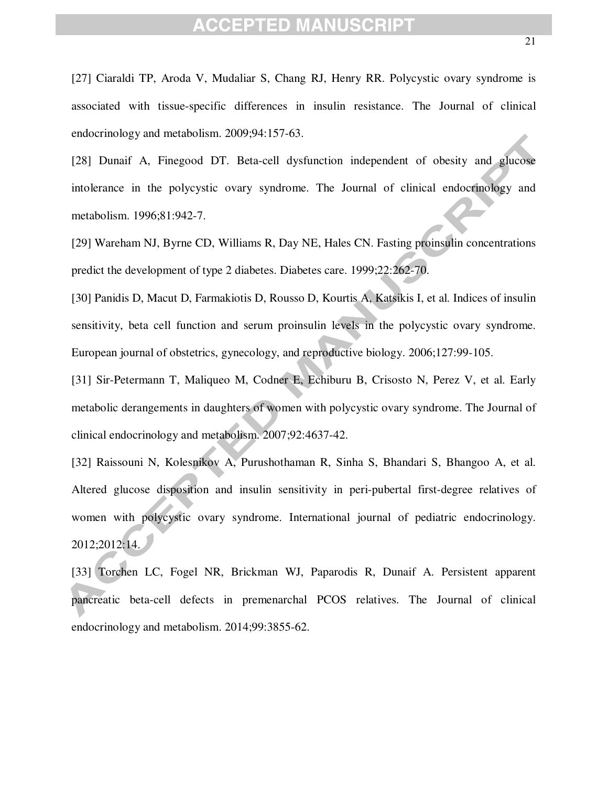[28] Dunaif A, Finegood DT. Beta-cell dysfunction independent of obesity and glucose intolerance in the polycystic ovary syndrome. The Journal of clinical endocrinology and metabolism. 1996;81:942-7.

[29] Wareham NJ, Byrne CD, Williams R, Day NE, Hales CN. Fasting proinsulin concentrations predict the development of type 2 diabetes. Diabetes care. 1999;22:262-70.

[30] Panidis D, Macut D, Farmakiotis D, Rousso D, Kourtis A, Katsikis I, et al. Indices of insulin sensitivity, beta cell function and serum proinsulin levels in the polycystic ovary syndrome. European journal of obstetrics, gynecology, and reproductive biology. 2006;127:99-105.

[31] Sir-Petermann T, Maliqueo M, Codner E, Echiburu B, Crisosto N, Perez V, et al. Early metabolic derangements in daughters of women with polycystic ovary syndrome. The Journal of clinical endocrinology and metabolism. 2007;92:4637-42.

[32] Raissouni N, Kolesnikov A, Purushothaman R, Sinha S, Bhandari S, Bhangoo A, et al. Altered glucose disposition and insulin sensitivity in peri-pubertal first-degree relatives of women with polycystic ovary syndrome. International journal of pediatric endocrinology. 2012;2012:14.

[33] Torchen LC, Fogel NR, Brickman WJ, Paparodis R, Dunaif A. Persistent apparent pancreatic beta-cell defects in premenarchal PCOS relatives. The Journal of clinical endocrinology and metabolism. 2014;99:3855-62.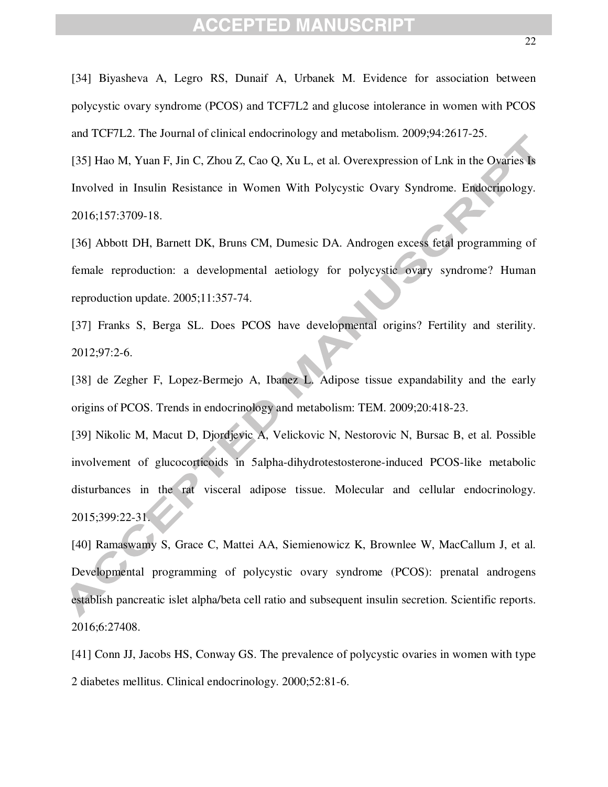[34] Biyasheva A, Legro RS, Dunaif A, Urbanek M. Evidence for association between polycystic ovary syndrome (PCOS) and TCF7L2 and glucose intolerance in women with PCOS and TCF7L2. The Journal of clinical endocrinology and metabolism. 2009;94:2617-25.

[35] Hao M, Yuan F, Jin C, Zhou Z, Cao Q, Xu L, et al. Overexpression of Lnk in the Ovaries Is Involved in Insulin Resistance in Women With Polycystic Ovary Syndrome. Endocrinology. 2016;157:3709-18.

[36] Abbott DH, Barnett DK, Bruns CM, Dumesic DA. Androgen excess fetal programming of female reproduction: a developmental aetiology for polycystic ovary syndrome? Human reproduction update. 2005;11:357-74.

[37] Franks S, Berga SL. Does PCOS have developmental origins? Fertility and sterility. 2012;97:2-6.

[38] de Zegher F, Lopez-Bermejo A, Ibanez L. Adipose tissue expandability and the early origins of PCOS. Trends in endocrinology and metabolism: TEM. 2009;20:418-23.

[39] Nikolic M, Macut D, Djordjevic A, Velickovic N, Nestorovic N, Bursac B, et al. Possible involvement of glucocorticoids in 5alpha-dihydrotestosterone-induced PCOS-like metabolic disturbances in the rat visceral adipose tissue. Molecular and cellular endocrinology. 2015;399:22-31.

[40] Ramaswamy S, Grace C, Mattei AA, Siemienowicz K, Brownlee W, MacCallum J, et al. Developmental programming of polycystic ovary syndrome (PCOS): prenatal androgens establish pancreatic islet alpha/beta cell ratio and subsequent insulin secretion. Scientific reports. 2016;6:27408.

[41] Conn JJ, Jacobs HS, Conway GS. The prevalence of polycystic ovaries in women with type 2 diabetes mellitus. Clinical endocrinology. 2000;52:81-6.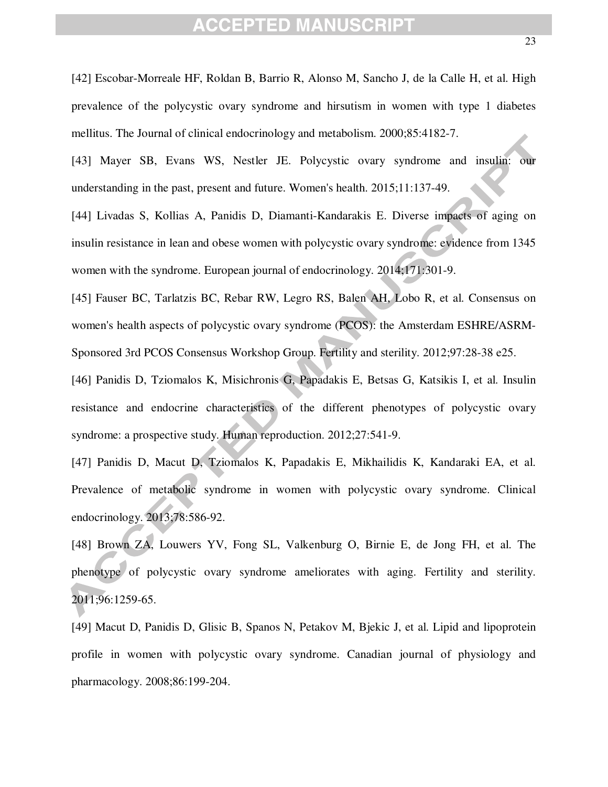[42] Escobar-Morreale HF, Roldan B, Barrio R, Alonso M, Sancho J, de la Calle H, et al. High prevalence of the polycystic ovary syndrome and hirsutism in women with type 1 diabetes mellitus. The Journal of clinical endocrinology and metabolism. 2000;85:4182-7.

[43] Mayer SB, Evans WS, Nestler JE. Polycystic ovary syndrome and insulin: our understanding in the past, present and future. Women's health. 2015;11:137-49.

[44] Livadas S, Kollias A, Panidis D, Diamanti-Kandarakis E. Diverse impacts of aging on insulin resistance in lean and obese women with polycystic ovary syndrome: evidence from 1345 women with the syndrome. European journal of endocrinology. 2014;171:301-9.

[45] Fauser BC, Tarlatzis BC, Rebar RW, Legro RS, Balen AH, Lobo R, et al. Consensus on women's health aspects of polycystic ovary syndrome (PCOS): the Amsterdam ESHRE/ASRM-Sponsored 3rd PCOS Consensus Workshop Group. Fertility and sterility. 2012;97:28-38 e25.

[46] Panidis D, Tziomalos K, Misichronis G, Papadakis E, Betsas G, Katsikis I, et al. Insulin resistance and endocrine characteristics of the different phenotypes of polycystic ovary syndrome: a prospective study. Human reproduction. 2012;27:541-9.

[47] Panidis D, Macut D, Tziomalos K, Papadakis E, Mikhailidis K, Kandaraki EA, et al. Prevalence of metabolic syndrome in women with polycystic ovary syndrome. Clinical endocrinology. 2013;78:586-92.

[48] Brown ZA, Louwers YV, Fong SL, Valkenburg O, Birnie E, de Jong FH, et al. The phenotype of polycystic ovary syndrome ameliorates with aging. Fertility and sterility. 2011;96:1259-65.

[49] Macut D, Panidis D, Glisic B, Spanos N, Petakov M, Bjekic J, et al. Lipid and lipoprotein profile in women with polycystic ovary syndrome. Canadian journal of physiology and pharmacology. 2008;86:199-204.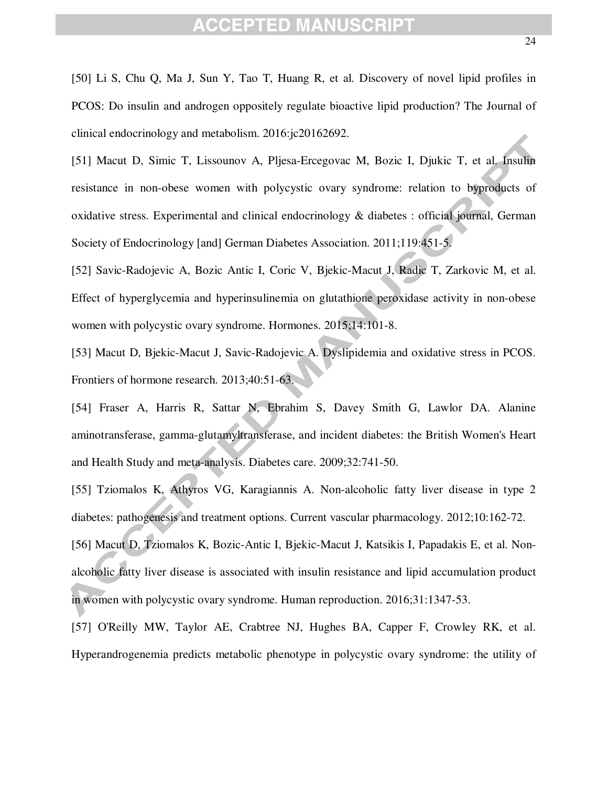[50] Li S, Chu Q, Ma J, Sun Y, Tao T, Huang R, et al. Discovery of novel lipid profiles in PCOS: Do insulin and androgen oppositely regulate bioactive lipid production? The Journal of clinical endocrinology and metabolism. 2016:jc20162692.

[51] Macut D, Simic T, Lissounov A, Pljesa-Ercegovac M, Bozic I, Djukic T, et al. Insulin resistance in non-obese women with polycystic ovary syndrome: relation to byproducts of oxidative stress. Experimental and clinical endocrinology & diabetes : official journal, German Society of Endocrinology [and] German Diabetes Association. 2011;119:451-5.

[52] Savic-Radojevic A, Bozic Antic I, Coric V, Bjekic-Macut J, Radic T, Zarkovic M, et al. Effect of hyperglycemia and hyperinsulinemia on glutathione peroxidase activity in non-obese women with polycystic ovary syndrome. Hormones. 2015;14:101-8.

[53] Macut D, Bjekic-Macut J, Savic-Radojevic A. Dyslipidemia and oxidative stress in PCOS. Frontiers of hormone research. 2013;40:51-63.

[54] Fraser A, Harris R, Sattar N, Ebrahim S, Davey Smith G, Lawlor DA. Alanine aminotransferase, gamma-glutamyltransferase, and incident diabetes: the British Women's Heart and Health Study and meta-analysis. Diabetes care. 2009;32:741-50.

[55] Tziomalos K, Athyros VG, Karagiannis A. Non-alcoholic fatty liver disease in type 2 diabetes: pathogenesis and treatment options. Current vascular pharmacology. 2012;10:162-72.

[56] Macut D, Tziomalos K, Bozic-Antic I, Bjekic-Macut J, Katsikis I, Papadakis E, et al. Nonalcoholic fatty liver disease is associated with insulin resistance and lipid accumulation product in women with polycystic ovary syndrome. Human reproduction. 2016;31:1347-53.

[57] O'Reilly MW, Taylor AE, Crabtree NJ, Hughes BA, Capper F, Crowley RK, et al. Hyperandrogenemia predicts metabolic phenotype in polycystic ovary syndrome: the utility of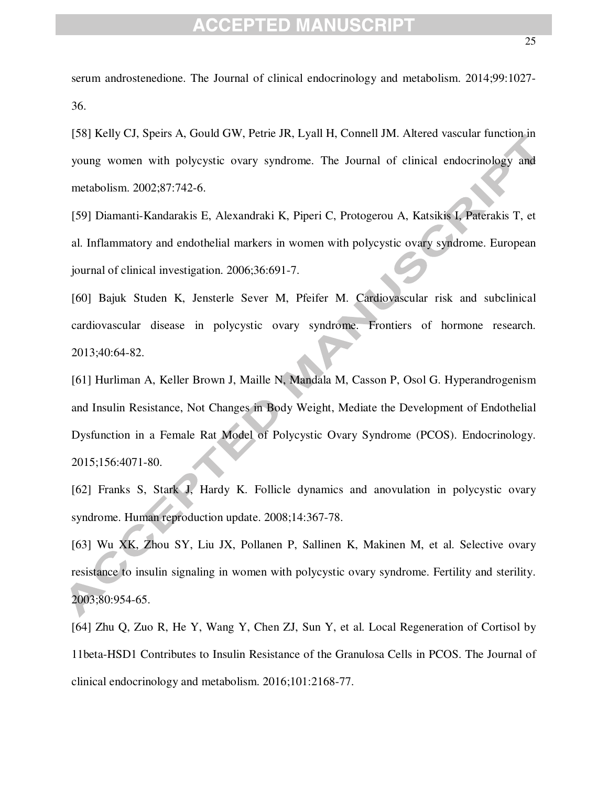serum androstenedione. The Journal of clinical endocrinology and metabolism. 2014;99:1027- 36.

[58] Kelly CJ, Speirs A, Gould GW, Petrie JR, Lyall H, Connell JM. Altered vascular function in young women with polycystic ovary syndrome. The Journal of clinical endocrinology and metabolism. 2002;87:742-6.

[59] Diamanti-Kandarakis E, Alexandraki K, Piperi C, Protogerou A, Katsikis I, Paterakis T, et al. Inflammatory and endothelial markers in women with polycystic ovary syndrome. European journal of clinical investigation. 2006;36:691-7.

[60] Bajuk Studen K, Jensterle Sever M, Pfeifer M. Cardiovascular risk and subclinical cardiovascular disease in polycystic ovary syndrome. Frontiers of hormone research. 2013;40:64-82.

[61] Hurliman A, Keller Brown J, Maille N, Mandala M, Casson P, Osol G. Hyperandrogenism and Insulin Resistance, Not Changes in Body Weight, Mediate the Development of Endothelial Dysfunction in a Female Rat Model of Polycystic Ovary Syndrome (PCOS). Endocrinology. 2015;156:4071-80.

[62] Franks S, Stark J, Hardy K. Follicle dynamics and anovulation in polycystic ovary syndrome. Human reproduction update. 2008;14:367-78.

[63] Wu XK, Zhou SY, Liu JX, Pollanen P, Sallinen K, Makinen M, et al. Selective ovary resistance to insulin signaling in women with polycystic ovary syndrome. Fertility and sterility. 2003;80:954-65.

[64] Zhu Q, Zuo R, He Y, Wang Y, Chen ZJ, Sun Y, et al. Local Regeneration of Cortisol by 11beta-HSD1 Contributes to Insulin Resistance of the Granulosa Cells in PCOS. The Journal of clinical endocrinology and metabolism. 2016;101:2168-77.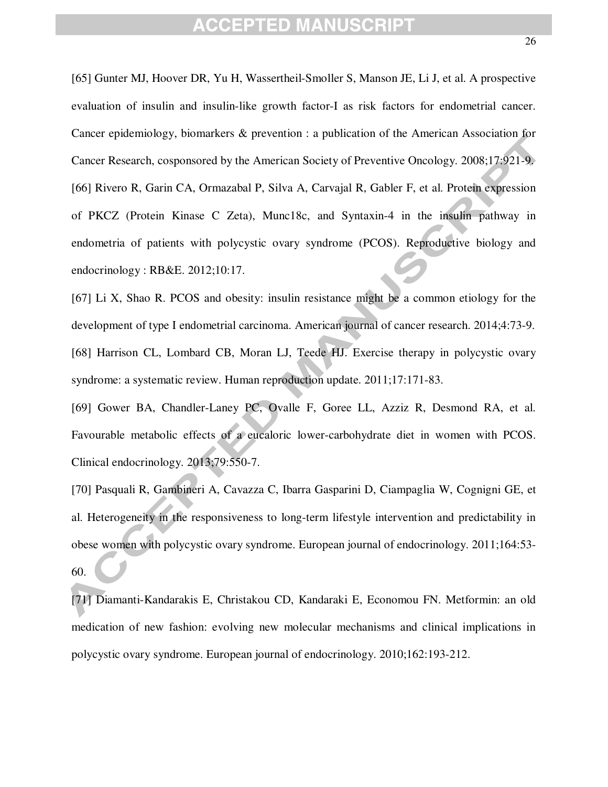[65] Gunter MJ, Hoover DR, Yu H, Wassertheil-Smoller S, Manson JE, Li J, et al. A prospective evaluation of insulin and insulin-like growth factor-I as risk factors for endometrial cancer. Cancer epidemiology, biomarkers & prevention : a publication of the American Association for Cancer Research, cosponsored by the American Society of Preventive Oncology. 2008;17:921-9. [66] Rivero R, Garin CA, Ormazabal P, Silva A, Carvajal R, Gabler F, et al. Protein expression of PKCZ (Protein Kinase C Zeta), Munc18c, and Syntaxin-4 in the insulin pathway in endometria of patients with polycystic ovary syndrome (PCOS). Reproductive biology and endocrinology : RB&E. 2012;10:17.

[67] Li X, Shao R. PCOS and obesity: insulin resistance might be a common etiology for the development of type I endometrial carcinoma. American journal of cancer research. 2014;4:73-9. [68] Harrison CL, Lombard CB, Moran LJ, Teede HJ. Exercise therapy in polycystic ovary syndrome: a systematic review. Human reproduction update. 2011;17:171-83.

[69] Gower BA, Chandler-Laney PC, Ovalle F, Goree LL, Azziz R, Desmond RA, et al. Favourable metabolic effects of a eucaloric lower-carbohydrate diet in women with PCOS. Clinical endocrinology. 2013;79:550-7.

[70] Pasquali R, Gambineri A, Cavazza C, Ibarra Gasparini D, Ciampaglia W, Cognigni GE, et al. Heterogeneity in the responsiveness to long-term lifestyle intervention and predictability in obese women with polycystic ovary syndrome. European journal of endocrinology. 2011;164:53- 60.

[71] Diamanti-Kandarakis E, Christakou CD, Kandaraki E, Economou FN. Metformin: an old medication of new fashion: evolving new molecular mechanisms and clinical implications in polycystic ovary syndrome. European journal of endocrinology. 2010;162:193-212.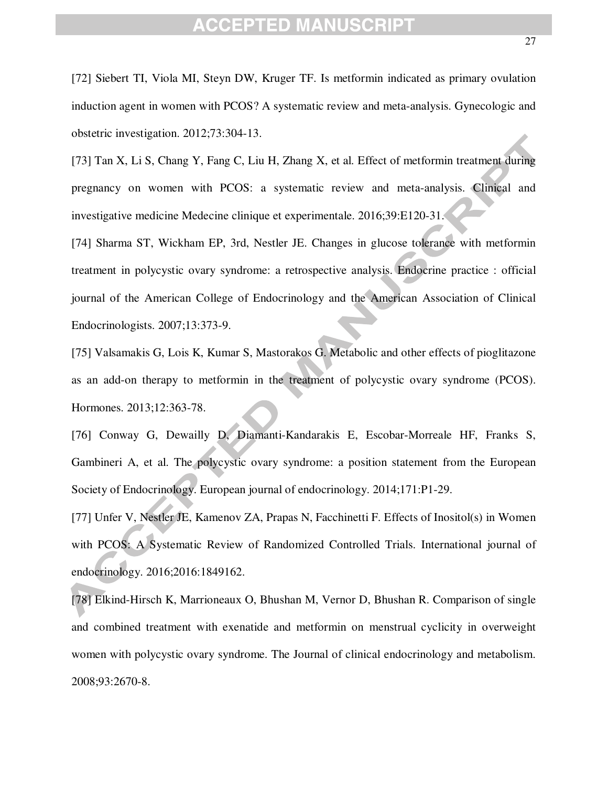[72] Siebert TI, Viola MI, Steyn DW, Kruger TF. Is metformin indicated as primary ovulation induction agent in women with PCOS? A systematic review and meta-analysis. Gynecologic and obstetric investigation. 2012;73:304-13.

[73] Tan X, Li S, Chang Y, Fang C, Liu H, Zhang X, et al. Effect of metformin treatment during pregnancy on women with PCOS: a systematic review and meta-analysis. Clinical and investigative medicine Medecine clinique et experimentale. 2016;39:E120-31.

[74] Sharma ST, Wickham EP, 3rd, Nestler JE. Changes in glucose tolerance with metformin treatment in polycystic ovary syndrome: a retrospective analysis. Endocrine practice : official journal of the American College of Endocrinology and the American Association of Clinical Endocrinologists. 2007;13:373-9.

[75] Valsamakis G, Lois K, Kumar S, Mastorakos G. Metabolic and other effects of pioglitazone as an add-on therapy to metformin in the treatment of polycystic ovary syndrome (PCOS). Hormones. 2013;12:363-78.

[76] Conway G, Dewailly D, Diamanti-Kandarakis E, Escobar-Morreale HF, Franks S, Gambineri A, et al. The polycystic ovary syndrome: a position statement from the European Society of Endocrinology. European journal of endocrinology. 2014;171:P1-29.

[77] Unfer V, Nestler JE, Kamenov ZA, Prapas N, Facchinetti F. Effects of Inositol(s) in Women with PCOS: A Systematic Review of Randomized Controlled Trials. International journal of endocrinology. 2016;2016:1849162.

[78] Elkind-Hirsch K, Marrioneaux O, Bhushan M, Vernor D, Bhushan R. Comparison of single and combined treatment with exenatide and metformin on menstrual cyclicity in overweight women with polycystic ovary syndrome. The Journal of clinical endocrinology and metabolism. 2008;93:2670-8.